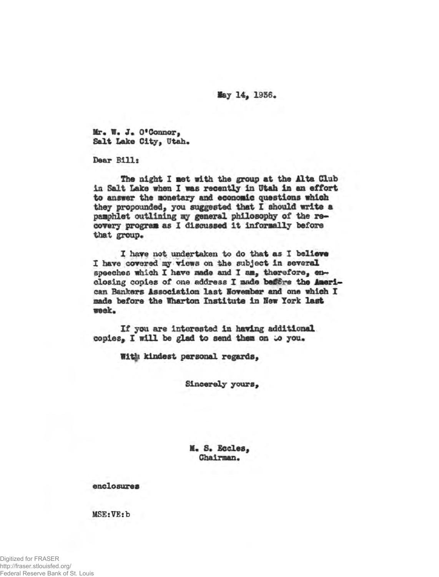**lay 14, 1956.** 

Mr. W. J. O'Connor, Salt Lake City, Utah.

**Dear Bills**

The night I met with the group at the Alta Club **in Salt Lake when X was recently in Utah in an effort to answer the monetary and economic questions which they propounded, you suggested that I should write a pamphlet outlining my general philosophy of the recovery program as X discussed it informally before** that group.

**I have not undertaken to do that as I believe** I have covered my views on the subject in several speeches which I have made and I am, therefore, en**closing copies of one address X made** *be£€re* **the American Bankers Association last November and one which X made before the Wharton Institute in Sew York last week\***

**If you are interested in having additional** copies. I will be glad to send them on to you.

**fit|t kindest personal regards,**

**Sincerely yours,**

**If\* S. Eccles,** Chairman.

**enclosures**

**MSE:VE:b**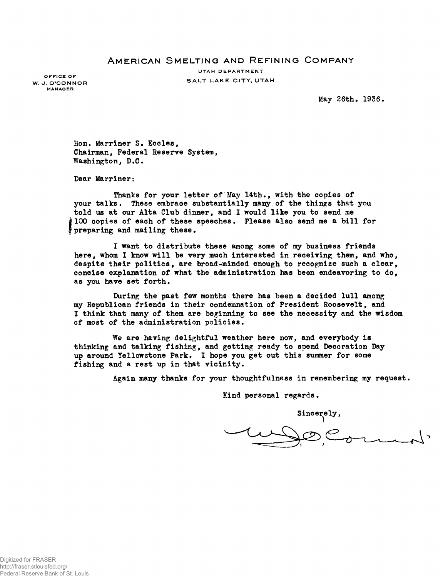## **A m e r ic a n S m e l t in g a n d R e f i n in g C o m p a n y**

UTAH DEPARTMENT W. J. O'CONNOR<br>W. J. O'CONNOR

**OFFICE OF MANAGER**

**May 26th. 1936.**

**Hon. Marriner S. Eocles, Chairman, Federal Reserve System, Washington, B.C.**

**Dear Marriner:**

**Thanks for your letter of May 14th., with the copies of your talks. These embrace substantially many, of the things that you told us at our Alta Club dinner, and I would like you to send me 100 copies of each of these speeches. Please also send me a bill for preparing and mailing these.**

**I want to distribute these among some of my business friends here, whom I know will be very much interested in receiving them, and who, despite their politics, are broad-minded enough to recognize such a clear, concise explanation of what the administration has been endeavoring to do, as you have set forth.**

**During the past few months there has been a decided lull among my Republican friends in their condemnation of President Roosevelt, and I think that many of them are beginning to see the necessity and the wisdom of most of the administration policies.**

**We are having delightful weather here now, and everybody is thinking and talking fishing, and getting ready to spend Decoration Day up around Yellowstone park. I hope you get out this summer for some fishing and a rest up in that vicinity.**

Again many thanks for your thoughtfulness in remembering my request.

**Kind personal regards.**

Sincerely,